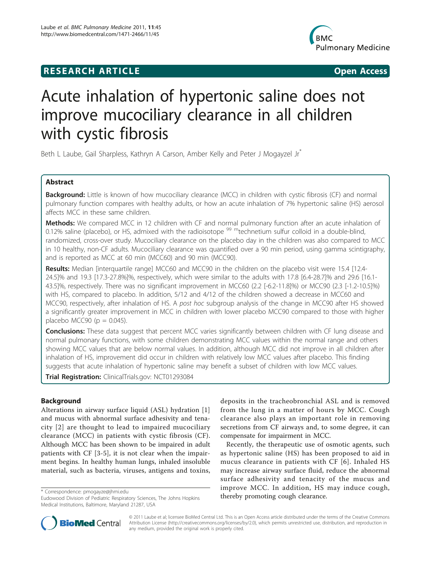# **RESEARCH ARTICLE Example 2018 12:00 Open Access**



# Acute inhalation of hypertonic saline does not improve mucociliary clearance in all children with cystic fibrosis

Beth L Laube, Gail Sharpless, Kathryn A Carson, Amber Kelly and Peter J Mogayzel Jr<sup>\*</sup>

# Abstract

Background: Little is known of how mucociliary clearance (MCC) in children with cystic fibrosis (CF) and normal pulmonary function compares with healthy adults, or how an acute inhalation of 7% hypertonic saline (HS) aerosol affects MCC in these same children.

Methods: We compared MCC in 12 children with CF and normal pulmonary function after an acute inhalation of 0.12% saline (placebo), or HS, admixed with the radioisotope  $99$  mtechnetium sulfur colloid in a double-blind, randomized, cross-over study. Mucociliary clearance on the placebo day in the children was also compared to MCC in 10 healthy, non-CF adults. Mucociliary clearance was quantified over a 90 min period, using gamma scintigraphy, and is reported as MCC at 60 min (MCC60) and 90 min (MCC90).

Results: Median [interquartile range] MCC60 and MCC90 in the children on the placebo visit were 15.4 [12.4-24.5]% and 19.3 [17.3-27.8%]%, respectively, which were similar to the adults with 17.8 [6.4-28.7]% and 29.6 [16.1- 43.5]%, respectively. There was no significant improvement in MCC60 (2.2 [-6.2-11.8]%) or MCC90 (2.3 [-1.2-10.5]%) with HS, compared to placebo. In addition, 5/12 and 4/12 of the children showed a decrease in MCC60 and MCC90, respectively, after inhalation of HS. A post hoc subgroup analysis of the change in MCC90 after HS showed a significantly greater improvement in MCC in children with lower placebo MCC90 compared to those with higher placebo MCC90 ( $p = 0.045$ ).

**Conclusions:** These data suggest that percent MCC varies significantly between children with CF lung disease and normal pulmonary functions, with some children demonstrating MCC values within the normal range and others showing MCC values that are below normal values. In addition, although MCC did not improve in all children after inhalation of HS, improvement did occur in children with relatively low MCC values after placebo. This finding suggests that acute inhalation of hypertonic saline may benefit a subset of children with low MCC values.

**Trial Registration:** ClinicalTrials.gov: [NCT01293084](http://www.clinicaltrials.gov/ct2/show/NCT01293084)

# Background

Alterations in airway surface liquid (ASL) hydration [\[1](#page-5-0)] and mucus with abnormal surface adhesivity and tenacity [[2](#page-5-0)] are thought to lead to impaired mucociliary clearance (MCC) in patients with cystic fibrosis (CF). Although MCC has been shown to be impaired in adult patients with CF [[3-5\]](#page-5-0), it is not clear when the impairment begins. In healthy human lungs, inhaled insoluble material, such as bacteria, viruses, antigens and toxins,

deposits in the tracheobronchial ASL and is removed from the lung in a matter of hours by MCC. Cough clearance also plays an important role in removing secretions from CF airways and, to some degree, it can compensate for impairment in MCC.

Recently, the therapeutic use of osmotic agents, such as hypertonic saline (HS) has been proposed to aid in mucus clearance in patients with CF [\[6\]](#page-5-0). Inhaled HS may increase airway surface fluid, reduce the abnormal surface adhesivity and tenacity of the mucus and improve MCC. In addition, HS may induce cough, \* Correspondence: [pmogayze@jhmi.edu](mailto:pmogayze@jhmi.edu)<br>Eudowood Division of Pediatric Respiratory Sciences, The Johns Hopkins **thereby promoting cough clearance.** 



© 2011 Laube et al; licensee BioMed Central Ltd. This is an Open Access article distributed under the terms of the Creative Commons Attribution License [\(http://creativecommons.org/licenses/by/2.0](http://creativecommons.org/licenses/by/2.0)), which permits unrestricted use, distribution, and reproduction in any medium, provided the original work is properly cited.

Medical Institutions, Baltimore, Maryland 21287, USA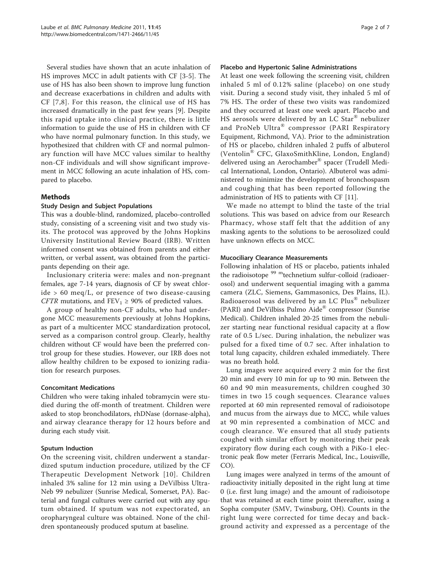Several studies have shown that an acute inhalation of HS improves MCC in adult patients with CF [[3-5](#page-5-0)]. The use of HS has also been shown to improve lung function and decrease exacerbations in children and adults with CF [[7,8\]](#page-5-0). For this reason, the clinical use of HS has increased dramatically in the past few years [[9\]](#page-5-0). Despite this rapid uptake into clinical practice, there is little information to guide the use of HS in children with CF who have normal pulmonary function. In this study, we hypothesized that children with CF and normal pulmonary function will have MCC values similar to healthy non-CF individuals and will show significant improvement in MCC following an acute inhalation of HS, compared to placebo.

# Methods

### Study Design and Subject Populations

This was a double-blind, randomized, placebo-controlled study, consisting of a screening visit and two study visits. The protocol was approved by the Johns Hopkins University Institutional Review Board (IRB). Written informed consent was obtained from parents and either written, or verbal assent, was obtained from the participants depending on their age.

Inclusionary criteria were: males and non-pregnant females, age 7-14 years, diagnosis of CF by sweat chlor $ide > 60$  meq/L, or presence of two disease-causing CFTR mutations, and  $FEV_1 \ge 90\%$  of predicted values.

A group of healthy non-CF adults, who had undergone MCC measurements previously at Johns Hopkins, as part of a multicenter MCC standardization protocol, served as a comparison control group. Clearly, healthy children without CF would have been the preferred control group for these studies. However, our IRB does not allow healthy children to be exposed to ionizing radiation for research purposes.

#### Concomitant Medications

Children who were taking inhaled tobramycin were studied during the off-month of treatment. Children were asked to stop bronchodilators, rhDNase (dornase-alpha), and airway clearance therapy for 12 hours before and during each study visit.

#### Sputum Induction

On the screening visit, children underwent a standardized sputum induction procedure, utilized by the CF Therapeutic Development Network [[10\]](#page-5-0). Children inhaled 3% saline for 12 min using a DeVilbiss Ultra-Neb 99 nebulizer (Sunrise Medical, Somerset, PA). Bacterial and fungal cultures were carried out with any sputum obtained. If sputum was not expectorated, an oropharyngeal culture was obtained. None of the children spontaneously produced sputum at baseline.

#### Placebo and Hypertonic Saline Administrations

At least one week following the screening visit, children inhaled 5 ml of 0.12% saline (placebo) on one study visit. During a second study visit, they inhaled 5 ml of 7% HS. The order of these two visits was randomized and they occurred at least one week apart. Placebo and HS aerosols were delivered by an LC Star® nebulizer and ProNeb Ultra® compressor (PARI Respiratory Equipment, Richmond, VA). Prior to the administration of HS or placebo, children inhaled 2 puffs of albuterol (Ventolin® CFC, GlaxoSmithKline, London, England) delivered using an Aerochamber® spacer (Trudell Medical International, London, Ontario). Albuterol was administered to minimize the development of bronchospasm and coughing that has been reported following the administration of HS to patients with CF [\[11\]](#page-5-0).

We made no attempt to blind the taste of the trial solutions. This was based on advice from our Research Pharmacy, whose staff felt that the addition of any masking agents to the solutions to be aerosolized could have unknown effects on MCC.

#### Mucociliary Clearance Measurements

Following inhalation of HS or placebo, patients inhaled the radioisotope<sup>99</sup> mtechnetium sulfur-colloid (radioaerosol) and underwent sequential imaging with a gamma camera (ZLC, Siemens, Gammasonics, Des Plains, IL). Radioaerosol was delivered by an LC Plus<sup>®</sup> nebulizer (PARI) and DeVilbiss Pulmo Aide® compressor (Sunrise Medical). Children inhaled 20-25 times from the nebulizer starting near functional residual capacity at a flow rate of 0.5 L/sec. During inhalation, the nebulizer was pulsed for a fixed time of 0.7 sec. After inhalation to total lung capacity, children exhaled immediately. There was no breath hold.

Lung images were acquired every 2 min for the first 20 min and every 10 min for up to 90 min. Between the 60 and 90 min measurements, children coughed 30 times in two 15 cough sequences. Clearance values reported at 60 min represented removal of radioisotope and mucus from the airways due to MCC, while values at 90 min represented a combination of MCC and cough clearance. We ensured that all study patients coughed with similar effort by monitoring their peak expiratory flow during each cough with a PiKo-1 electronic peak flow meter (Ferraris Medical, Inc., Louisville, CO).

Lung images were analyzed in terms of the amount of radioactivity initially deposited in the right lung at time 0 (i.e. first lung image) and the amount of radioisotope that was retained at each time point thereafter, using a Sopha computer (SMV, Twinsburg, OH). Counts in the right lung were corrected for time decay and background activity and expressed as a percentage of the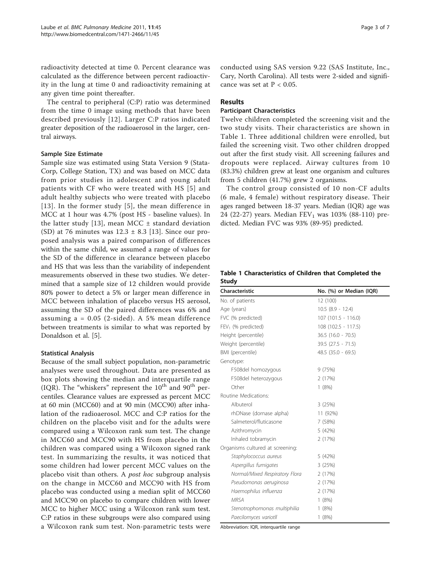radioactivity detected at time 0. Percent clearance was calculated as the difference between percent radioactivity in the lung at time 0 and radioactivity remaining at any given time point thereafter.

The central to peripheral (C:P) ratio was determined from the time 0 image using methods that have been described previously [[12](#page-5-0)]. Larger C:P ratios indicated greater deposition of the radioaerosol in the larger, central airways.

#### Sample Size Estimate

Sample size was estimated using Stata Version 9 (Stata-Corp, College Station, TX) and was based on MCC data from prior studies in adolescent and young adult patients with CF who were treated with HS [[5](#page-5-0)] and adult healthy subjects who were treated with placebo [[13\]](#page-5-0). In the former study [[5](#page-5-0)], the mean difference in MCC at 1 hour was 4.7% (post HS - baseline values). In the latter study [\[13\]](#page-5-0), mean MCC  $\pm$  standard deviation (SD) at 76 minutes was  $12.3 \pm 8.3$  [\[13\]](#page-5-0). Since our proposed analysis was a paired comparison of differences within the same child, we assumed a range of values for the SD of the difference in clearance between placebo and HS that was less than the variability of independent measurements observed in these two studies. We determined that a sample size of 12 children would provide 80% power to detect a 5% or larger mean difference in MCC between inhalation of placebo versus HS aerosol, assuming the SD of the paired differences was 6% and assuming a = 0.05 (2-sided). A 5% mean difference between treatments is similar to what was reported by Donaldson et al. [\[5\]](#page-5-0).

### Statistical Analysis

Because of the small subject population, non-parametric analyses were used throughout. Data are presented as box plots showing the median and interquartile range (IQR). The "whiskers" represent the  $10^{th}$  and  $90^{th}$  percentiles. Clearance values are expressed as percent MCC at 60 min (MCC60) and at 90 min (MCC90) after inhalation of the radioaerosol. MCC and C:P ratios for the children on the placebo visit and for the adults were compared using a Wilcoxon rank sum test. The change in MCC60 and MCC90 with HS from placebo in the children was compared using a Wilcoxon signed rank test. In summarizing the results, it was noticed that some children had lower percent MCC values on the placebo visit than others. A post hoc subgroup analysis on the change in MCC60 and MCC90 with HS from placebo was conducted using a median split of MCC60 and MCC90 on placebo to compare children with lower MCC to higher MCC using a Wilcoxon rank sum test. C:P ratios in these subgroups were also compared using a Wilcoxon rank sum test. Non-parametric tests were

### Results

#### Participant Characteristics

Twelve children completed the screening visit and the two study visits. Their characteristics are shown in Table 1. Three additional children were enrolled, but failed the screening visit. Two other children dropped out after the first study visit. All screening failures and dropouts were replaced. Airway cultures from 10 (83.3%) children grew at least one organism and cultures from 5 children (41.7%) grew 2 organisms.

The control group consisted of 10 non-CF adults (6 male, 4 female) without respiratory disease. Their ages ranged between 18-37 years. Median (IQR) age was 24 (22-27) years. Median  $FEV_1$  was 103% (88-110) predicted. Median FVC was 93% (89-95) predicted.

### Table 1 Characteristics of Children that Completed the Study

| Characteristic                   | No. (%) or Median (IQR) |
|----------------------------------|-------------------------|
| No. of patients                  | 12 (100)                |
| Age (years)                      | $10.5(8.9 - 12.4)$      |
| FVC (% predicted)                | 107 (101.5 - 116.0)     |
| FEV <sub>1</sub> (% predicted)   | 108 (102.5 - 117.5)     |
| Height (percentile)              | $36.5$ (16.0 - 70.5)    |
| Weight (percentile)              | 39.5 (27.5 - 71.5)      |
| BMI (percentile)                 | 48.5 (35.0 - 69.5)      |
| Genotype:                        |                         |
| F508del homozygous               | 9(75%)                  |
| F508del heterozygous             | 2(17%)                  |
| Other                            | 1(8%)                   |
| Routine Medications:             |                         |
| Albuterol                        | 3(25%)                  |
| rhDNase (dornase alpha)          | 11 (92%)                |
| Salmeterol/fluticasone           | 7 (58%)                 |
| Azithromycin                     | 5 (42%)                 |
| Inhaled tobramycin               | 2(17%)                  |
| Organisms cultured at screening: |                         |
| Staphylococcus aureus            | 5 (42%)                 |
| Aspergillus fumigates            | 3(25%)                  |
| Normal/Mixed Respiratory Flora   | 2(17%)                  |
| Pseudomonas aeruginosa           | 2(17%)                  |
| Haemophilus influenza            | 2(17%)                  |
| <b>MRSA</b>                      | 1(8%)                   |
| Stenotrophomonas multiphilia     | 1(8%)                   |
| Paecilomyces variotll            | 1(8%)                   |

Abbreviation: IQR, interquartile range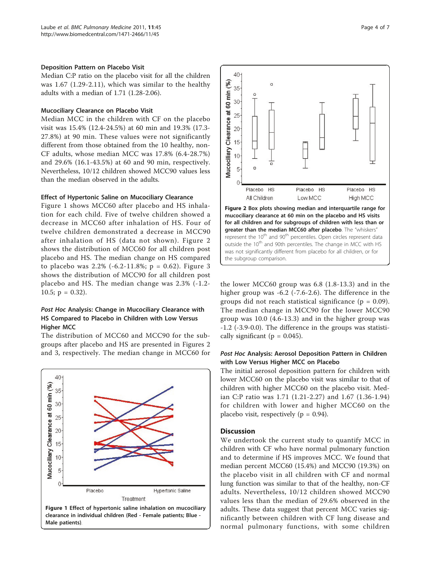#### <span id="page-3-0"></span>Deposition Pattern on Placebo Visit

Median C:P ratio on the placebo visit for all the children was 1.67 (1.29-2.11), which was similar to the healthy adults with a median of 1.71 (1.28-2.06).

#### Mucociliary Clearance on Placebo Visit

Median MCC in the children with CF on the placebo visit was 15.4% (12.4-24.5%) at 60 min and 19.3% (17.3- 27.8%) at 90 min. These values were not significantly different from those obtained from the 10 healthy, non-CF adults, whose median MCC was 17.8% (6.4-28.7%) and 29.6% (16.1-43.5%) at 60 and 90 min, respectively. Nevertheless, 10/12 children showed MCC90 values less than the median observed in the adults.

#### Effect of Hypertonic Saline on Mucociliary Clearance

Figure 1 shows MCC60 after placebo and HS inhalation for each child. Five of twelve children showed a decrease in MCC60 after inhalation of HS. Four of twelve children demonstrated a decrease in MCC90 after inhalation of HS (data not shown). Figure 2 shows the distribution of MCC60 for all children post placebo and HS. The median change on HS compared to placebo was  $2.2\%$  (-6.2-11.8%; p = 0.62). Figure [3](#page-4-0) shows the distribution of MCC90 for all children post placebo and HS. The median change was 2.3% (-1.2- 10.5;  $p = 0.32$ ).

### Post Hoc Analysis: Change in Mucociliary Clearance with HS Compared to Placebo in Children with Low Versus Higher MCC

The distribution of MCC60 and MCC90 for the subgroups after placebo and HS are presented in Figures 2 and [3,](#page-4-0) respectively. The median change in MCC60 for





the lower MCC60 group was 6.8 (1.8-13.3) and in the higher group was -6.2 (-7.6-2.6). The difference in the groups did not reach statistical significance ( $p = 0.09$ ). The median change in MCC90 for the lower MCC90 group was 10.0 (4.6-13.3) and in the higher group was -1.2 (-3.9-0.0). The difference in the groups was statistically significant ( $p = 0.045$ ).

# Post Hoc Analysis: Aerosol Deposition Pattern in Children with Low Versus Higher MCC on Placebo

The initial aerosol deposition pattern for children with lower MCC60 on the placebo visit was similar to that of children with higher MCC60 on the placebo visit. Median C:P ratio was 1.71 (1.21-2.27) and 1.67 (1.36-1.94) for children with lower and higher MCC60 on the placebo visit, respectively ( $p = 0.94$ ).

# **Discussion**

We undertook the current study to quantify MCC in children with CF who have normal pulmonary function and to determine if HS improves MCC. We found that median percent MCC60 (15.4%) and MCC90 (19.3%) on the placebo visit in all children with CF and normal lung function was similar to that of the healthy, non-CF adults. Nevertheless, 10/12 children showed MCC90 values less than the median of 29.6% observed in the adults. These data suggest that percent MCC varies significantly between children with CF lung disease and normal pulmonary functions, with some children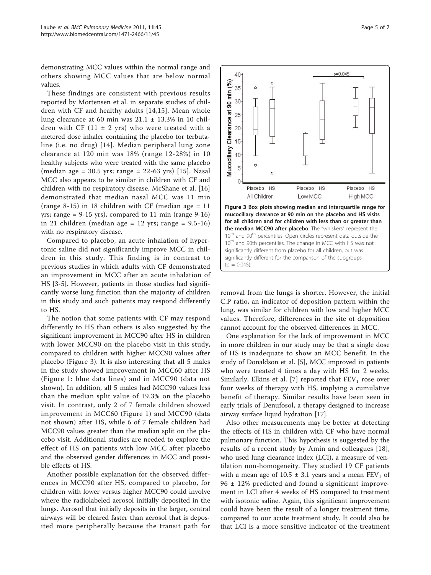<span id="page-4-0"></span>demonstrating MCC values within the normal range and others showing MCC values that are below normal values.

These findings are consistent with previous results reported by Mortensen et al. in separate studies of children with CF and healthy adults [[14](#page-5-0),[15](#page-5-0)]. Mean whole lung clearance at 60 min was  $21.1 \pm 13.3\%$  in 10 children with CF  $(11 \pm 2 \text{ yrs})$  who were treated with a metered dose inhaler containing the placebo for terbutaline (i.e. no drug) [[14\]](#page-5-0). Median peripheral lung zone clearance at 120 min was 18% (range 12-28%) in 10 healthy subjects who were treated with the same placebo (median age = 30.5 yrs; range = 22-63 yrs) [[15](#page-5-0)]. Nasal MCC also appears to be similar in children with CF and children with no respiratory disease. McShane et al. [[16](#page-5-0)] demonstrated that median nasal MCC was 11 min (range 8-15) in 18 children with CF (median age  $= 11$ yrs; range =  $9-15$  yrs), compared to 11 min (range  $9-16$ ) in 21 children (median age =  $12$  yrs; range =  $9.5-16$ ) with no respiratory disease.

Compared to placebo, an acute inhalation of hypertonic saline did not significantly improve MCC in children in this study. This finding is in contrast to previous studies in which adults with CF demonstrated an improvement in MCC after an acute inhalation of HS [[3-5](#page-5-0)]. However, patients in those studies had significantly worse lung function than the majority of children in this study and such patients may respond differently to HS.

The notion that some patients with CF may respond differently to HS than others is also suggested by the significant improvement in MCC90 after HS in children with lower MCC90 on the placebo visit in this study, compared to children with higher MCC90 values after placebo (Figure 3). It is also interesting that all 5 males in the study showed improvement in MCC60 after HS (Figure [1:](#page-3-0) blue data lines) and in MCC90 (data not shown). In addition, all 5 males had MCC90 values less than the median split value of 19.3% on the placebo visit. In contrast, only 2 of 7 female children showed improvement in MCC60 (Figure [1](#page-3-0)) and MCC90 (data not shown) after HS, while 6 of 7 female children had MCC90 values greater than the median split on the placebo visit. Additional studies are needed to explore the effect of HS on patients with low MCC after placebo and the observed gender differences in MCC and possible effects of HS.

Another possible explanation for the observed differences in MCC90 after HS, compared to placebo, for children with lower versus higher MCC90 could involve where the radiolabeled aerosol initially deposited in the lungs. Aerosol that initially deposits in the larger, central airways will be cleared faster than aerosol that is deposited more peripherally because the transit path for

removal from the lungs is shorter. However, the initial C:P ratio, an indicator of deposition pattern within the lung, was similar for children with low and higher MCC values. Therefore, differences in the site of deposition cannot account for the observed differences in MCC.

One explanation for the lack of improvement in MCC in more children in our study may be that a single dose of HS is inadequate to show an MCC benefit. In the study of Donaldson et al. [\[5](#page-5-0)], MCC improved in patients who were treated 4 times a day with HS for 2 weeks. Similarly, Elkins et al. [[7\]](#page-5-0) reported that  $FEV<sub>1</sub>$  rose over four weeks of therapy with HS, implying a cumulative benefit of therapy. Similar results have been seen in early trials of Denufosol, a therapy designed to increase airway surface liquid hydration [\[17\]](#page-6-0).

Also other measurements may be better at detecting the effects of HS in children with CF who have normal pulmonary function. This hypothesis is suggested by the results of a recent study by Amin and colleagues [[18](#page-6-0)], who used lung clearance index (LCI), a measure of ventilation non-homogeneity. They studied 19 CF patients with a mean age of 10.5  $\pm$  3.1 years and a mean FEV<sub>1</sub> of  $96 \pm 12\%$  predicted and found a significant improvement in LCI after 4 weeks of HS compared to treatment with isotonic saline. Again, this significant improvement could have been the result of a longer treatment time, compared to our acute treatment study. It could also be that LCI is a more sensitive indicator of the treatment

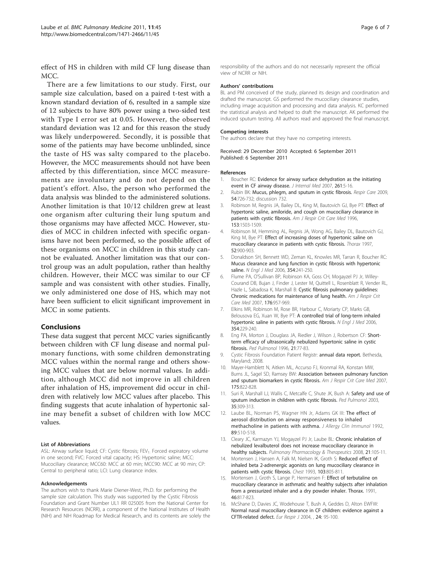<span id="page-5-0"></span>effect of HS in children with mild CF lung disease than MCC.

There are a few limitations to our study. First, our sample size calculation, based on a paired t-test with a known standard deviation of 6, resulted in a sample size of 12 subjects to have 80% power using a two-sided test with Type I error set at 0.05. However, the observed standard deviation was 12 and for this reason the study was likely underpowered. Secondly, it is possible that some of the patients may have become unblinded, since the taste of HS was salty compared to the placebo. However, the MCC measurements should not have been affected by this differentiation, since MCC measurements are involuntary and do not depend on the patient's effort. Also, the person who performed the data analysis was blinded to the administered solutions. Another limitation is that 10/12 children grew at least one organism after culturing their lung sputum and those organisms may have affected MCC. However, studies of MCC in children infected with specific organisms have not been performed, so the possible affect of these organisms on MCC in children in this study cannot be evaluated. Another limitation was that our control group was an adult population, rather than healthy children. However, their MCC was similar to our CF sample and was consistent with other studies. Finally, we only administered one dose of HS, which may not have been sufficient to elicit significant improvement in MCC in some patients.

#### Conclusions

These data suggest that percent MCC varies significantly between children with CF lung disease and normal pulmonary functions, with some children demonstrating MCC values within the normal range and others showing MCC values that are below normal values. In addition, although MCC did not improve in all children after inhalation of HS, improvement did occur in children with relatively low MCC values after placebo. This finding suggests that acute inhalation of hypertonic saline may benefit a subset of children with low MCC values.

#### List of Abbreviations

ASL: Airway surface liquid; CF: Cystic fibrosis; FEV<sub>1</sub>. Forced expiratory volume in one second; FVC: Forced vital capacity; HS: Hypertonic saline; MCC: Mucociliary clearance; MCC60: MCC at 60 min; MCC90: MCC at 90 min; CP: Central to peripheral ratio; LCI: Lung clearance index.

#### Acknowledgements

The authors wish to thank Marie Diener-West, Ph.D. for performing the sample size calculation. This study was supported by the Cystic Fibrosis Foundation and Grant Number UL1 RR 025005 from the National Center for Research Resources (NCRR), a component of the National Institutes of Health (NIH) and NIH Roadmap for Medical Research, and its contents are solely the Page 6 of 7

responsibility of the authors and do not necessarily represent the official view of NCRR or NIH.

#### Authors' contributions

BL and PM conceived of the study, planned its design and coordination and drafted the manuscript. GS performed the mucociliary clearance studies, including image acquisition and processing and data analysis. KC performed the statistical analysis and helped to draft the manuscript. AK performed the induced sputum testing. All authors read and approved the final manuscript.

#### Competing interests

The authors declare that they have no competing interests.

Received: 29 December 2010 Accepted: 6 September 2011 Published: 6 September 2011

#### References

- 1. Boucher RC: [Evidence for airway surface dehydration as the initiating](http://www.ncbi.nlm.nih.gov/pubmed/17222164?dopt=Abstract) [event in CF airway disease.](http://www.ncbi.nlm.nih.gov/pubmed/17222164?dopt=Abstract) J Internal Med 2007, 261:5-16.
- 2. Rubin BK: [Mucus, phlegm, and sputum in cystic fibrosis.](http://www.ncbi.nlm.nih.gov/pubmed/19467160?dopt=Abstract) Respir Care 2009, 54:726-732; discussion 732.
- 3. Robinson M, Regnis JA, Bailey DL, King M, Bautovich GJ, Bye PT: [Effect of](http://www.ncbi.nlm.nih.gov/pubmed/8630593?dopt=Abstract) [hypertonic saline, amiloride, and cough on mucociliary clearance in](http://www.ncbi.nlm.nih.gov/pubmed/8630593?dopt=Abstract) [patients with cystic fibrosis.](http://www.ncbi.nlm.nih.gov/pubmed/8630593?dopt=Abstract) Am J Respir Crit Care Med 1996, 153:1503-1509.
- 4. Robinson M, Hemming AL, Regnis JA, Wong AG, Bailey DL, Bautovich GJ, King M, Bye PT: [Effect of increasing doses of hypertonic saline on](http://www.ncbi.nlm.nih.gov/pubmed/9404379?dopt=Abstract) [mucociliary clearance in patients with cystic fibrosis.](http://www.ncbi.nlm.nih.gov/pubmed/9404379?dopt=Abstract) Thorax 1997, 52:900-903.
- 5. Donaldson SH, Bennett WD, Zeman KL, Knowles MR, Tarran R, Boucher RC: [Mucus clearance and lung function in cystic fibrosis with hypertonic](http://www.ncbi.nlm.nih.gov/pubmed/16421365?dopt=Abstract) [saline.](http://www.ncbi.nlm.nih.gov/pubmed/16421365?dopt=Abstract) N Engl J Med 2006, 354:241-250.
- 6. Flume PA, O'Sullivan BP, Robinson KA, Goss CH, Mogayzel PJ Jr, Willey-Courand DB, Bujan J, Finder J, Lester M, Quittell L, Rosenblatt R, Vender RL, Hazle L, Sabadosa K, Marshall B: [Cystic fibrosis pulmonary guidelines:](http://www.ncbi.nlm.nih.gov/pubmed/17761616?dopt=Abstract) [Chronic medications for maintenance of lung health.](http://www.ncbi.nlm.nih.gov/pubmed/17761616?dopt=Abstract) Am J Respir Crit Care Med 2007, 176:957-969.
- 7. Elkins MR, Robinson M, Rose BR, Harbour C, Moriarty CP, Marks GB, Belousova EG, Xuan W, Bye PT: [A controlled trial of long-term inhaled](http://www.ncbi.nlm.nih.gov/pubmed/16421364?dopt=Abstract) [hypertonic saline in patients with cystic fibrosis.](http://www.ncbi.nlm.nih.gov/pubmed/16421364?dopt=Abstract) N Engl J Med 2006, 354:229-240.
- 8. Eng PA, Morton J, Douglass JA, Riedler J, Wilson J, Robertson CF: Shortterm efficacy of ultrasonically nebulized hypertonic saline in cystic fibrosis. Ped Pulmonol 1996, 21:77-83.
- 9. Cystic Fibrosis Foundation Patient Registr: annual data report. Bethesda, Maryland; 2008.
- 10. Mayer-Hamblett N, Aitken ML, Accurso FJ, Kronmal RA, Konstan MW, Burns JL, Sagel SD, Ramsey BW: [Association between pulmonary function](http://www.ncbi.nlm.nih.gov/pubmed/17234902?dopt=Abstract) [and sputum biomarkers in cystic fibrosis.](http://www.ncbi.nlm.nih.gov/pubmed/17234902?dopt=Abstract) Am J Respir Crit Care Med 2007, 175:822-828.
- 11. Suri R, Marshall LJ, Wallis C, Metcalfe C, Shute JK, Bush A: Safety and use of sputum induction in children with cystic fibrosis. Ped Pulmonol 2003, 35:309-313.
- 12. Laube BL, Norman PS, Wagner HN Jr, Adams GK III: [The effect of](http://www.ncbi.nlm.nih.gov/pubmed/1740581?dopt=Abstract) [aerosol distribution on airway responsiveness to inhaled](http://www.ncbi.nlm.nih.gov/pubmed/1740581?dopt=Abstract) [methacholine in patients with asthma.](http://www.ncbi.nlm.nih.gov/pubmed/1740581?dopt=Abstract) J Allergy Clin Immunol 1992, 89:510-518.
- 13. Cleary JC, Karmazyn YJ, Mogayzel PJ Jr, Laube BL: [Chronic inhalation of](http://www.ncbi.nlm.nih.gov/pubmed/21881146?dopt=Abstract) [nebulized levalbuterol does not increase mucociliary clearance in](http://www.ncbi.nlm.nih.gov/pubmed/21881146?dopt=Abstract) [healthy subjects.](http://www.ncbi.nlm.nih.gov/pubmed/21881146?dopt=Abstract) Pulmonary Pharmacology & Therapeutics 2008, 21:105-11.
- 14. Mortensen J, Hansen A, Falk M, Nielsen IK, Groth S: [Reduced effect of](http://www.ncbi.nlm.nih.gov/pubmed/8095449?dopt=Abstract) [inhaled beta 2-adrenergic agonists on lung mucociliary clearance in](http://www.ncbi.nlm.nih.gov/pubmed/8095449?dopt=Abstract) [patients with cystic fibrosis.](http://www.ncbi.nlm.nih.gov/pubmed/8095449?dopt=Abstract) Chest 1993, 103:805-811.
- 15. Mortensen J, Groth S, Lange P, Hermansen F: Effect of terbutaline on mucociliary clearance in asthmatic and healthy subjects after inhalation from a pressurized inhaler and a dry powder inhaler. Thorax. 1991, 46:817-823.
- 16. McShane D, Davies JC, Wodehouse T, Bush A, Geddes D, Alton EWFW: Normal nasal mucociliary clearance in CF children: evidence against a CFTR-related defect. Eur Respir J 2004, , 24: 95-100.